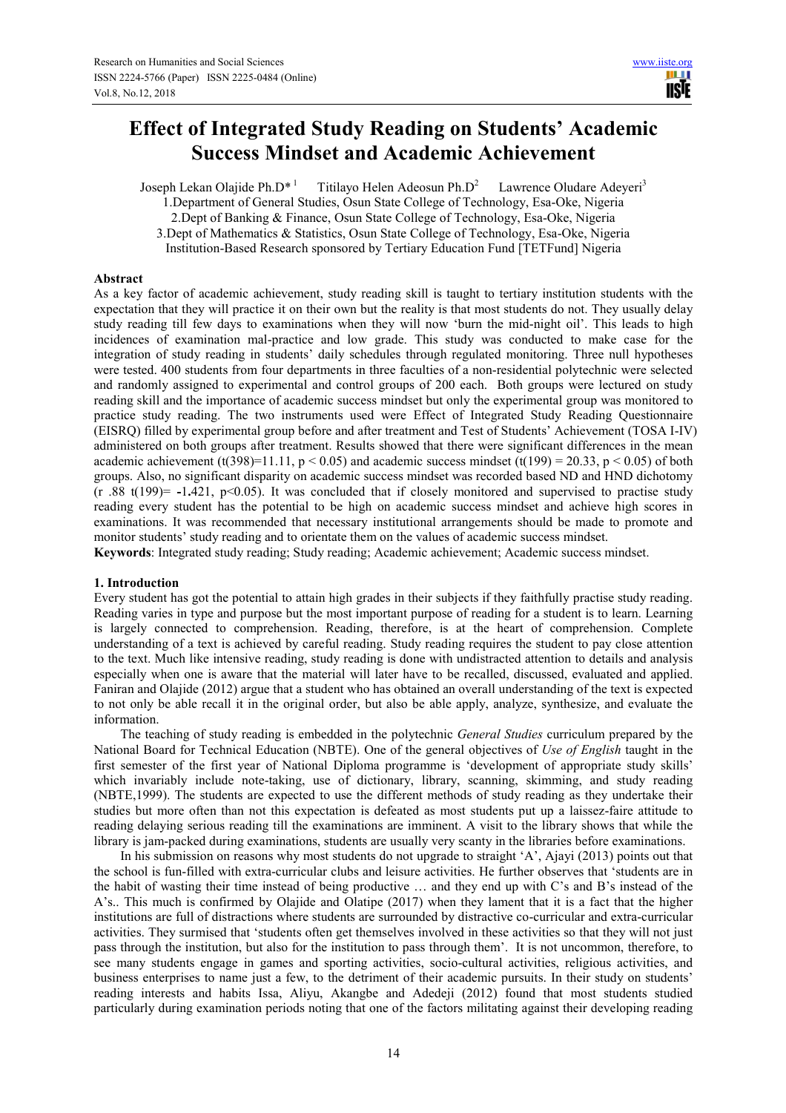# **Effect of Integrated Study Reading on Students' Academic Success Mindset and Academic Achievement**

Joseph Lekan Olajide Ph.D<sup>\*1</sup> Titilayo Helen Adeosun Ph.D<sup>2</sup> Lawrence Oludare Adeyeri<sup>3</sup>

1.Department of General Studies, Osun State College of Technology, Esa-Oke, Nigeria

2.Dept of Banking & Finance, Osun State College of Technology, Esa-Oke, Nigeria

3.Dept of Mathematics & Statistics, Osun State College of Technology, Esa-Oke, Nigeria

Institution-Based Research sponsored by Tertiary Education Fund [TETFund] Nigeria

# **Abstract**

As a key factor of academic achievement, study reading skill is taught to tertiary institution students with the expectation that they will practice it on their own but the reality is that most students do not. They usually delay study reading till few days to examinations when they will now 'burn the mid-night oil'. This leads to high incidences of examination mal-practice and low grade. This study was conducted to make case for the integration of study reading in students' daily schedules through regulated monitoring. Three null hypotheses were tested. 400 students from four departments in three faculties of a non-residential polytechnic were selected and randomly assigned to experimental and control groups of 200 each. Both groups were lectured on study reading skill and the importance of academic success mindset but only the experimental group was monitored to practice study reading. The two instruments used were Effect of Integrated Study Reading Questionnaire (EISRQ) filled by experimental group before and after treatment and Test of Students' Achievement (TOSA I-IV) administered on both groups after treatment. Results showed that there were significant differences in the mean academic achievement (t(398)=11.11,  $p < 0.05$ ) and academic success mindset (t(199) = 20.33,  $p < 0.05$ ) of both groups. Also, no significant disparity on academic success mindset was recorded based ND and HND dichotomy (r .88 t(199)= **-**1**.**421, p<0.05). It was concluded that if closely monitored and supervised to practise study reading every student has the potential to be high on academic success mindset and achieve high scores in examinations. It was recommended that necessary institutional arrangements should be made to promote and monitor students' study reading and to orientate them on the values of academic success mindset.

**Keywords**: Integrated study reading; Study reading; Academic achievement; Academic success mindset.

# **1. Introduction**

Every student has got the potential to attain high grades in their subjects if they faithfully practise study reading. Reading varies in type and purpose but the most important purpose of reading for a student is to learn. Learning is largely connected to comprehension. Reading, therefore, is at the heart of comprehension. Complete understanding of a text is achieved by careful reading. Study reading requires the student to pay close attention to the text. Much like intensive reading, study reading is done with undistracted attention to details and analysis especially when one is aware that the material will later have to be recalled, discussed, evaluated and applied. Faniran and Olajide (2012) argue that a student who has obtained an overall understanding of the text is expected to not only be able recall it in the original order, but also be able apply, analyze, synthesize, and evaluate the information.

The teaching of study reading is embedded in the polytechnic *General Studies* curriculum prepared by the National Board for Technical Education (NBTE). One of the general objectives of *Use of English* taught in the first semester of the first year of National Diploma programme is 'development of appropriate study skills' which invariably include note-taking, use of dictionary, library, scanning, skimming, and study reading (NBTE,1999). The students are expected to use the different methods of study reading as they undertake their studies but more often than not this expectation is defeated as most students put up a laissez-faire attitude to reading delaying serious reading till the examinations are imminent. A visit to the library shows that while the library is jam-packed during examinations, students are usually very scanty in the libraries before examinations.

In his submission on reasons why most students do not upgrade to straight 'A', Ajayi (2013) points out that the school is fun-filled with extra-curricular clubs and leisure activities. He further observes that 'students are in the habit of wasting their time instead of being productive … and they end up with C's and B's instead of the A's.. This much is confirmed by Olajide and Olatipe (2017) when they lament that it is a fact that the higher institutions are full of distractions where students are surrounded by distractive co-curricular and extra-curricular activities. They surmised that 'students often get themselves involved in these activities so that they will not just pass through the institution, but also for the institution to pass through them'. It is not uncommon, therefore, to see many students engage in games and sporting activities, socio-cultural activities, religious activities, and business enterprises to name just a few, to the detriment of their academic pursuits. In their study on students' reading interests and habits Issa, Aliyu, Akangbe and Adedeji (2012) found that most students studied particularly during examination periods noting that one of the factors militating against their developing reading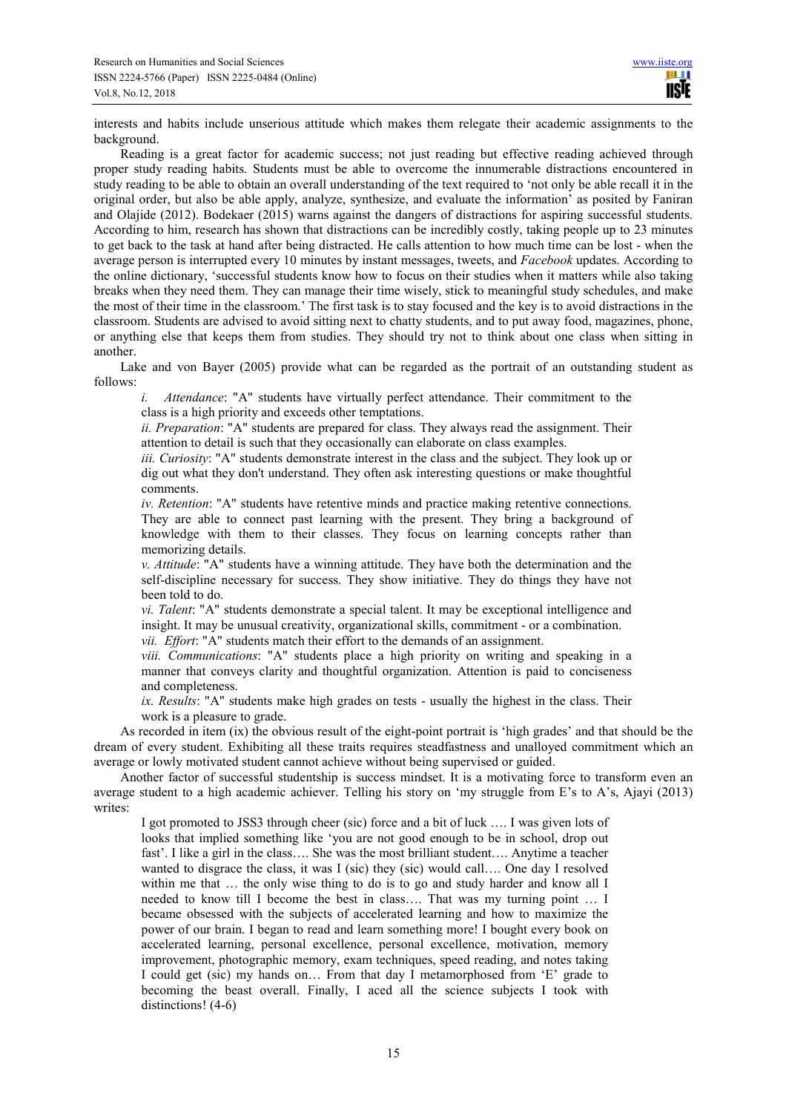interests and habits include unserious attitude which makes them relegate their academic assignments to the background.

Reading is a great factor for academic success; not just reading but effective reading achieved through proper study reading habits. Students must be able to overcome the innumerable distractions encountered in study reading to be able to obtain an overall understanding of the text required to 'not only be able recall it in the original order, but also be able apply, analyze, synthesize, and evaluate the information' as posited by Faniran and Olajide (2012). Bodekaer (2015) warns against the dangers of distractions for aspiring successful students. According to him, research has shown that distractions can be incredibly costly, taking people up to 23 minutes to get back to the task at hand after being distracted. He calls attention to how much time can be lost - when the average person is interrupted every 10 minutes by instant messages, tweets, and *Facebook* updates. According to the online dictionary, 'successful students know how to focus on their studies when it matters while also taking breaks when they need them. They can manage their time wisely, stick to meaningful study schedules, and make the most of their time in the classroom.' The first task is to stay focused and the key is to avoid distractions in the classroom. Students are advised to avoid sitting next to chatty students, and to put away food, magazines, phone, or anything else that keeps them from studies. They should try not to think about one class when sitting in another.

Lake and von Bayer (2005) provide what can be regarded as the portrait of an outstanding student as follows:

*i. Attendance*: "A" students have virtually perfect attendance. Their commitment to the class is a high priority and exceeds other temptations.

*ii. Preparation*: "A" students are prepared for class. They always read the assignment. Their attention to detail is such that they occasionally can elaborate on class examples.

*iii. Curiosity*: "A" students demonstrate interest in the class and the subject. They look up or dig out what they don't understand. They often ask interesting questions or make thoughtful comments.

*iv. Retention*: "A" students have retentive minds and practice making retentive connections. They are able to connect past learning with the present. They bring a background of knowledge with them to their classes. They focus on learning concepts rather than memorizing details.

*v. Attitude*: "A" students have a winning attitude. They have both the determination and the self-discipline necessary for success. They show initiative. They do things they have not been told to do.

*vi. Talent*: "A" students demonstrate a special talent. It may be exceptional intelligence and insight. It may be unusual creativity, organizational skills, commitment - or a combination. *vii. Effort*: "A" students match their effort to the demands of an assignment.

*viii. Communications*: "A" students place a high priority on writing and speaking in a manner that conveys clarity and thoughtful organization. Attention is paid to conciseness

and completeness.

*ix. Results*: "A" students make high grades on tests - usually the highest in the class. Their work is a pleasure to grade.

As recorded in item (ix) the obvious result of the eight-point portrait is 'high grades' and that should be the dream of every student. Exhibiting all these traits requires steadfastness and unalloyed commitment which an average or lowly motivated student cannot achieve without being supervised or guided.

Another factor of successful studentship is success mindset. It is a motivating force to transform even an average student to a high academic achiever. Telling his story on 'my struggle from E's to A's, Ajayi (2013) writes:

I got promoted to JSS3 through cheer (sic) force and a bit of luck …. I was given lots of looks that implied something like 'you are not good enough to be in school, drop out fast'. I like a girl in the class…. She was the most brilliant student…. Anytime a teacher wanted to disgrace the class, it was I (sic) they (sic) would call…. One day I resolved within me that ... the only wise thing to do is to go and study harder and know all I needed to know till I become the best in class…. That was my turning point … I became obsessed with the subjects of accelerated learning and how to maximize the power of our brain. I began to read and learn something more! I bought every book on accelerated learning, personal excellence, personal excellence, motivation, memory improvement, photographic memory, exam techniques, speed reading, and notes taking I could get (sic) my hands on… From that day I metamorphosed from 'E' grade to becoming the beast overall. Finally, I aced all the science subjects I took with distinctions! (4-6)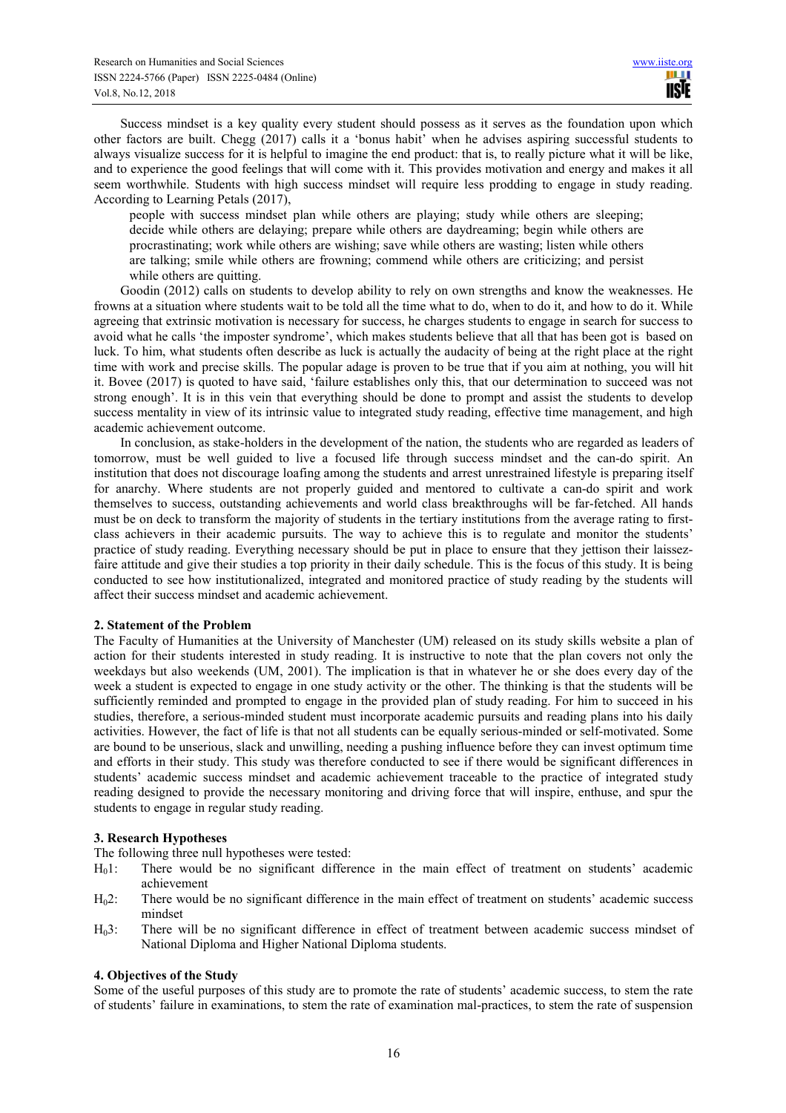Success mindset is a key quality every student should possess as it serves as the foundation upon which other factors are built. Chegg (2017) calls it a 'bonus habit' when he advises aspiring successful students to always visualize success for it is helpful to imagine the end product: that is, to really picture what it will be like, and to experience the good feelings that will come with it. This provides motivation and energy and makes it all seem worthwhile. Students with high success mindset will require less prodding to engage in study reading. According to Learning Petals (2017),

people with success mindset plan while others are playing; study while others are sleeping; decide while others are delaying; prepare while others are daydreaming; begin while others are procrastinating; work while others are wishing; save while others are wasting; listen while others are talking; smile while others are frowning; commend while others are criticizing; and persist while others are quitting.

Goodin (2012) calls on students to develop ability to rely on own strengths and know the weaknesses. He frowns at a situation where students wait to be told all the time what to do, when to do it, and how to do it. While agreeing that extrinsic motivation is necessary for success, he charges students to engage in search for success to avoid what he calls 'the imposter syndrome', which makes students believe that all that has been got is based on luck. To him, what students often describe as luck is actually the audacity of being at the right place at the right time with work and precise skills. The popular adage is proven to be true that if you aim at nothing, you will hit it. Bovee (2017) is quoted to have said, 'failure establishes only this, that our determination to succeed was not strong enough'. It is in this vein that everything should be done to prompt and assist the students to develop success mentality in view of its intrinsic value to integrated study reading, effective time management, and high academic achievement outcome.

In conclusion, as stake-holders in the development of the nation, the students who are regarded as leaders of tomorrow, must be well guided to live a focused life through success mindset and the can-do spirit. An institution that does not discourage loafing among the students and arrest unrestrained lifestyle is preparing itself for anarchy. Where students are not properly guided and mentored to cultivate a can-do spirit and work themselves to success, outstanding achievements and world class breakthroughs will be far-fetched. All hands must be on deck to transform the majority of students in the tertiary institutions from the average rating to firstclass achievers in their academic pursuits. The way to achieve this is to regulate and monitor the students' practice of study reading. Everything necessary should be put in place to ensure that they jettison their laissezfaire attitude and give their studies a top priority in their daily schedule. This is the focus of this study. It is being conducted to see how institutionalized, integrated and monitored practice of study reading by the students will affect their success mindset and academic achievement.

# **2. Statement of the Problem**

The Faculty of Humanities at the University of Manchester (UM) released on its study skills website a plan of action for their students interested in study reading. It is instructive to note that the plan covers not only the weekdays but also weekends (UM, 2001). The implication is that in whatever he or she does every day of the week a student is expected to engage in one study activity or the other. The thinking is that the students will be sufficiently reminded and prompted to engage in the provided plan of study reading. For him to succeed in his studies, therefore, a serious-minded student must incorporate academic pursuits and reading plans into his daily activities. However, the fact of life is that not all students can be equally serious-minded or self-motivated. Some are bound to be unserious, slack and unwilling, needing a pushing influence before they can invest optimum time and efforts in their study. This study was therefore conducted to see if there would be significant differences in students' academic success mindset and academic achievement traceable to the practice of integrated study reading designed to provide the necessary monitoring and driving force that will inspire, enthuse, and spur the students to engage in regular study reading.

# **3. Research Hypotheses**

The following three null hypotheses were tested:

- H01: There would be no significant difference in the main effect of treatment on students' academic achievement
- H<sub>0</sub>2: There would be no significant difference in the main effect of treatment on students' academic success mindset
- H<sub>0</sub>3: There will be no significant difference in effect of treatment between academic success mindset of National Diploma and Higher National Diploma students.

#### **4. Objectives of the Study**

Some of the useful purposes of this study are to promote the rate of students' academic success, to stem the rate of students' failure in examinations, to stem the rate of examination mal-practices, to stem the rate of suspension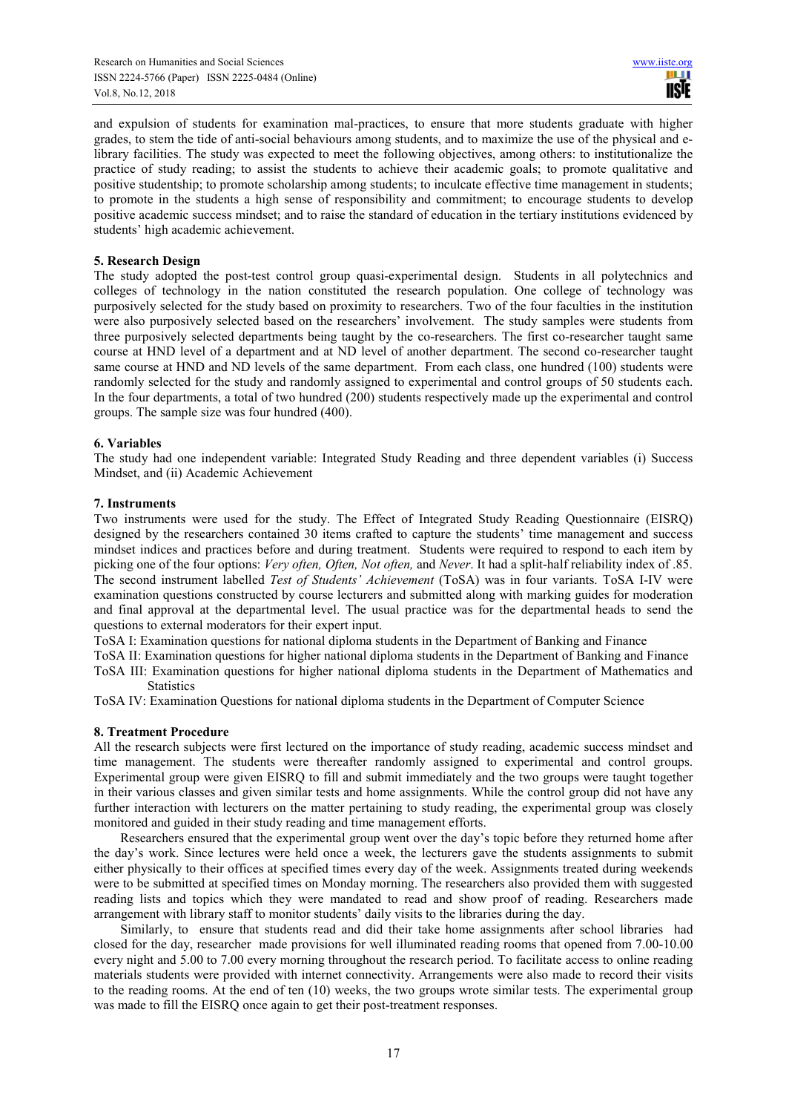and expulsion of students for examination mal-practices, to ensure that more students graduate with higher grades, to stem the tide of anti-social behaviours among students, and to maximize the use of the physical and elibrary facilities. The study was expected to meet the following objectives, among others: to institutionalize the practice of study reading; to assist the students to achieve their academic goals; to promote qualitative and positive studentship; to promote scholarship among students; to inculcate effective time management in students; to promote in the students a high sense of responsibility and commitment; to encourage students to develop positive academic success mindset; and to raise the standard of education in the tertiary institutions evidenced by students' high academic achievement.

# **5. Research Design**

The study adopted the post-test control group quasi-experimental design. Students in all polytechnics and colleges of technology in the nation constituted the research population. One college of technology was purposively selected for the study based on proximity to researchers. Two of the four faculties in the institution were also purposively selected based on the researchers' involvement. The study samples were students from three purposively selected departments being taught by the co-researchers. The first co-researcher taught same course at HND level of a department and at ND level of another department. The second co-researcher taught same course at HND and ND levels of the same department. From each class, one hundred (100) students were randomly selected for the study and randomly assigned to experimental and control groups of 50 students each. In the four departments, a total of two hundred (200) students respectively made up the experimental and control groups. The sample size was four hundred (400).

## **6. Variables**

The study had one independent variable: Integrated Study Reading and three dependent variables (i) Success Mindset, and (ii) Academic Achievement

#### **7. Instruments**

Two instruments were used for the study. The Effect of Integrated Study Reading Questionnaire (EISRQ) designed by the researchers contained 30 items crafted to capture the students' time management and success mindset indices and practices before and during treatment. Students were required to respond to each item by picking one of the four options: *Very often, Often, Not often,* and *Never*. It had a split-half reliability index of .85. The second instrument labelled *Test of Students' Achievement* (ToSA) was in four variants. ToSA I-IV were examination questions constructed by course lecturers and submitted along with marking guides for moderation and final approval at the departmental level. The usual practice was for the departmental heads to send the questions to external moderators for their expert input.

ToSA I: Examination questions for national diploma students in the Department of Banking and Finance

ToSA II: Examination questions for higher national diploma students in the Department of Banking and Finance

ToSA III: Examination questions for higher national diploma students in the Department of Mathematics and **Statistics** 

ToSA IV: Examination Questions for national diploma students in the Department of Computer Science

## **8. Treatment Procedure**

All the research subjects were first lectured on the importance of study reading, academic success mindset and time management. The students were thereafter randomly assigned to experimental and control groups. Experimental group were given EISRQ to fill and submit immediately and the two groups were taught together in their various classes and given similar tests and home assignments. While the control group did not have any further interaction with lecturers on the matter pertaining to study reading, the experimental group was closely monitored and guided in their study reading and time management efforts.

Researchers ensured that the experimental group went over the day's topic before they returned home after the day's work. Since lectures were held once a week, the lecturers gave the students assignments to submit either physically to their offices at specified times every day of the week. Assignments treated during weekends were to be submitted at specified times on Monday morning. The researchers also provided them with suggested reading lists and topics which they were mandated to read and show proof of reading. Researchers made arrangement with library staff to monitor students' daily visits to the libraries during the day.

Similarly, to ensure that students read and did their take home assignments after school libraries had closed for the day, researcher made provisions for well illuminated reading rooms that opened from 7.00-10.00 every night and 5.00 to 7.00 every morning throughout the research period. To facilitate access to online reading materials students were provided with internet connectivity. Arrangements were also made to record their visits to the reading rooms. At the end of ten (10) weeks, the two groups wrote similar tests. The experimental group was made to fill the EISRQ once again to get their post-treatment responses.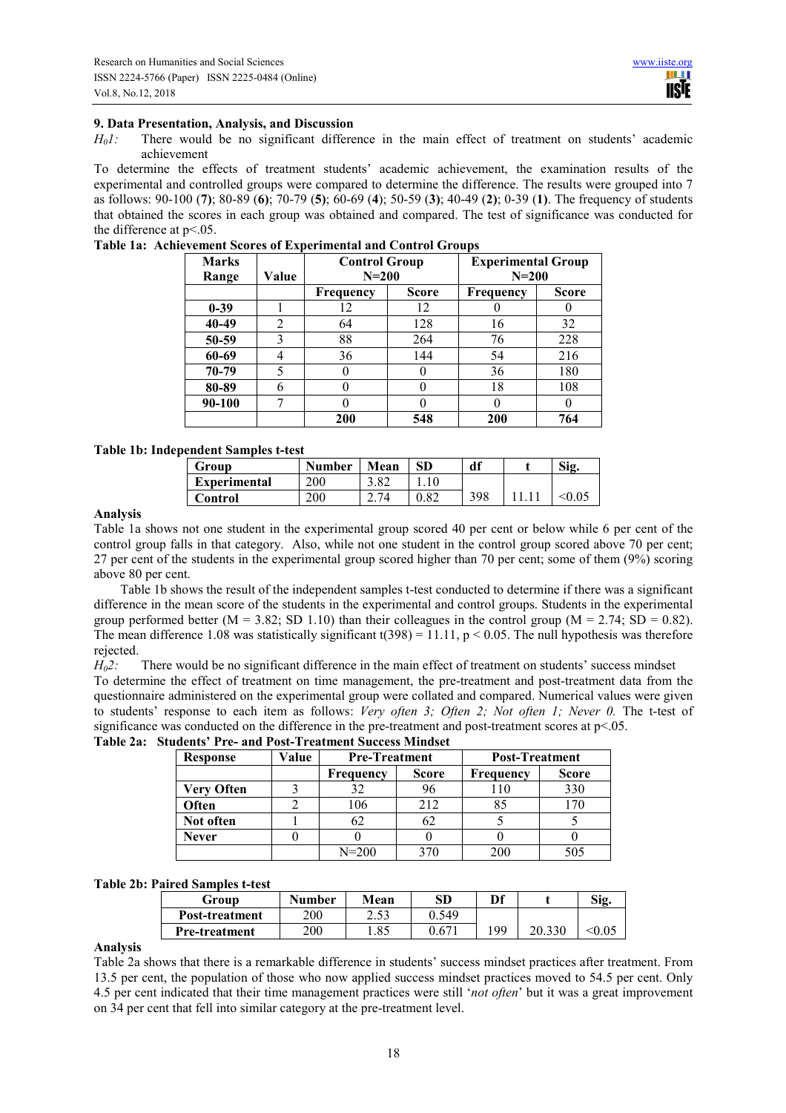# **9. Data Presentation, Analysis, and Discussion**

*H01:* There would be no significant difference in the main effect of treatment on students' academic achievement

To determine the effects of treatment students' academic achievement, the examination results of the experimental and controlled groups were compared to determine the difference. The results were grouped into 7 as follows: 90-100 (**7)**; 80-89 (**6)**; 70-79 (**5)**; 60-69 (**4**); 50-59 (**3)**; 40-49 (**2)**; 0-39 (**1)**. The frequency of students that obtained the scores in each group was obtained and compared. The test of significance was conducted for the difference at  $p<05$ .

| <b>Marks</b><br>Range | Value | <b>Control Group</b><br>$N=200$ |          | <b>Experimental Group</b><br>$N=200$ |       |  |  |
|-----------------------|-------|---------------------------------|----------|--------------------------------------|-------|--|--|
|                       |       | <b>Score</b><br>Frequency       |          | Frequency                            | Score |  |  |
| $0 - 39$              |       | 12                              | 12       |                                      |       |  |  |
| 40-49                 | 2     | 64                              | 128      | 16                                   | 32    |  |  |
| 50-59                 | 3     | 88                              | 264      | 76                                   | 228   |  |  |
| 60-69                 | 4     | 36                              | 144      | 54                                   | 216   |  |  |
| 70-79                 | 5     |                                 |          | 36                                   | 180   |  |  |
| 80-89                 | 6     |                                 | 0        | 18                                   | 108   |  |  |
| 90-100                |       |                                 | $\theta$ |                                      |       |  |  |
|                       |       | 200<br>548                      |          | 200                                  | 764   |  |  |

**Table 1a: Achievement Scores of Experimental and Control Groups** 

# **Table 1b: Independent Samples t-test**

| Group               | <b>Number</b> | Mean | <b>SD</b> | df  | Sig. |
|---------------------|---------------|------|-----------|-----|------|
| <b>Experimental</b> | 200           |      |           |     |      |
| Control             | 200           |      |           | 398 |      |

# **Analysis**

Table 1a shows not one student in the experimental group scored 40 per cent or below while 6 per cent of the control group falls in that category. Also, while not one student in the control group scored above 70 per cent; 27 per cent of the students in the experimental group scored higher than 70 per cent; some of them (9%) scoring above 80 per cent.

Table 1b shows the result of the independent samples t-test conducted to determine if there was a significant difference in the mean score of the students in the experimental and control groups. Students in the experimental group performed better  $(M = 3.82; SD 1.10)$  than their colleagues in the control group  $(M = 2.74; SD = 0.82)$ . The mean difference 1.08 was statistically significant  $t(398) = 11.11$ ,  $p < 0.05$ . The null hypothesis was therefore rejected.

*H02:* There would be no significant difference in the main effect of treatment on students' success mindset To determine the effect of treatment on time management, the pre-treatment and post-treatment data from the questionnaire administered on the experimental group were collated and compared. Numerical values were given to students' response to each item as follows: *Very often 3; Often 2; Not often 1; Never 0.* The t-test of significance was conducted on the difference in the pre-treatment and post-treatment scores at  $p<0.05$ .

**Table 2a: Students' Pre- and Post-Treatment Success Mindset** 

| Response          | Value | <b>Pre-Treatment</b> |              | <b>Post-Treatment</b> |              |  |
|-------------------|-------|----------------------|--------------|-----------------------|--------------|--|
|                   |       | Frequency            | <b>Score</b> | Frequency             | <b>Score</b> |  |
| <b>Very Often</b> |       |                      | 96           | 110                   | 330          |  |
| Often             |       | 106                  | 212          | 85                    | 170          |  |
| Not often         |       | 62                   | 62           |                       |              |  |
| <b>Never</b>      |       |                      |              |                       |              |  |
|                   |       | $N = 200$            | $270 -$      | 200                   | 505          |  |

#### **Table 2b: Paired Samples t-test**

| Group                 | <b>Number</b> | Mean          | <b>SD</b>      | Df  |        | Sig. |
|-----------------------|---------------|---------------|----------------|-----|--------|------|
| <b>Post-treatment</b> | 200           | つくつ<br>ر ر. ے | 0.549          |     |        |      |
| <b>Pre-treatment</b>  | 200           | 1.85          | $0.67^{\circ}$ | 199 | 20.330 |      |
|                       |               |               |                |     |        |      |

# **Analysis**

Table 2a shows that there is a remarkable difference in students' success mindset practices after treatment. From 13.5 per cent, the population of those who now applied success mindset practices moved to 54.5 per cent. Only 4.5 per cent indicated that their time management practices were still '*not often*' but it was a great improvement on 34 per cent that fell into similar category at the pre-treatment level.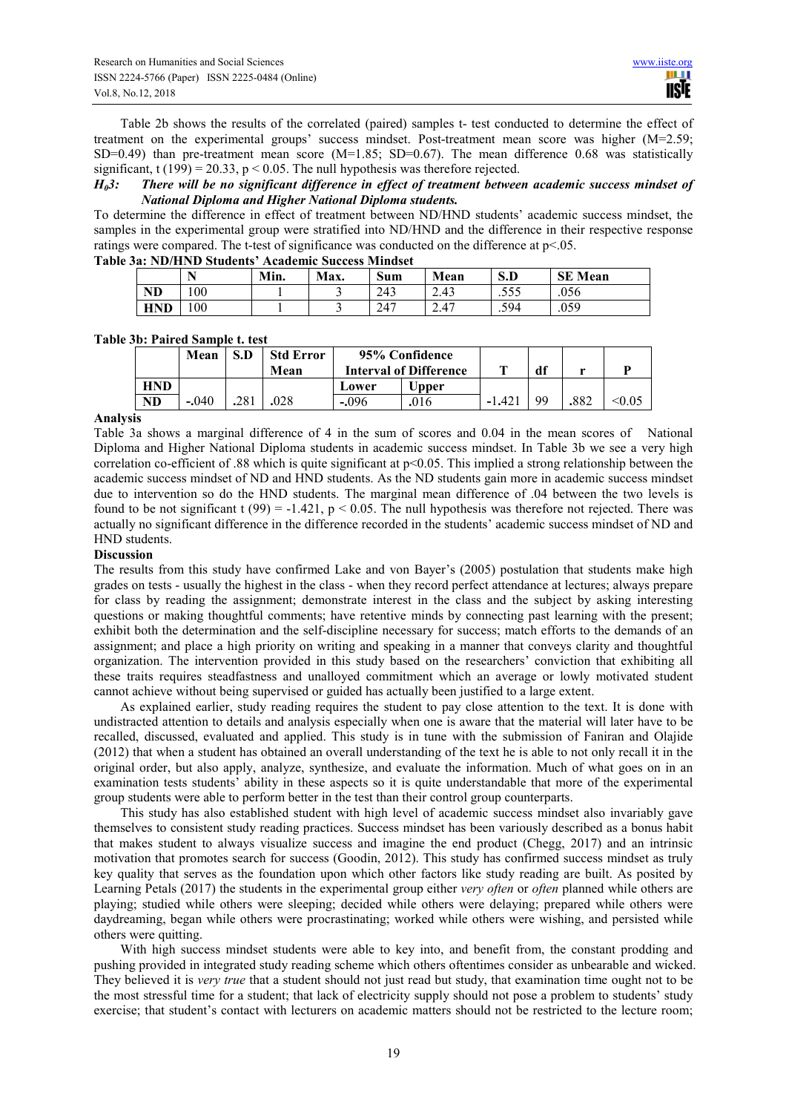Table 2b shows the results of the correlated (paired) samples t- test conducted to determine the effect of treatment on the experimental groups' success mindset. Post-treatment mean score was higher (M=2.59; SD=0.49) than pre-treatment mean score  $(M=1.85; SD=0.67)$ . The mean difference 0.68 was statistically significant, t (199) = 20.33,  $p < 0.05$ . The null hypothesis was therefore rejected.

## *H03: There will be no significant difference in effect of treatment between academic success mindset of National Diploma and Higher National Diploma students.*

To determine the difference in effect of treatment between ND/HND students' academic success mindset, the samples in the experimental group were stratified into ND/HND and the difference in their respective response ratings were compared. The t-test of significance was conducted on the difference at  $p<05$ . **Table 3a: ND/HND Students' Academic Success Mindset**

|            | a: ind/filmd students academic success minuset |      |      |     |      |       |                |  |  |  |  |  |
|------------|------------------------------------------------|------|------|-----|------|-------|----------------|--|--|--|--|--|
|            |                                                | Min. | Max. | Sum | Mean | S.D   | <b>SE Mean</b> |  |  |  |  |  |
| <b>ND</b>  | $00^{\circ}$                                   |      |      | 243 | 2.43 | . پ ل | .056           |  |  |  |  |  |
| <b>HND</b> | 00                                             |      |      | 247 | 2.47 | .594  | .059           |  |  |  |  |  |

# **Table 3b: Paired Sample t. test**

|           | Mean    | S.D  | <b>Std Error</b><br>Mean | 95% Confidence<br><b>Interval of Difference</b> |       |         | df |      |        |
|-----------|---------|------|--------------------------|-------------------------------------------------|-------|---------|----|------|--------|
| HND       |         |      |                          | Lower                                           | Upper |         |    |      |        |
| <b>ND</b> | $-.040$ | .281 | .028                     | $-.096$                                         | .016  | $-1.42$ | o٥ | .882 | < 0.05 |

## **Analysis**

Table 3a shows a marginal difference of 4 in the sum of scores and 0.04 in the mean scores of National Diploma and Higher National Diploma students in academic success mindset. In Table 3b we see a very high correlation co-efficient of .88 which is quite significant at p<0.05. This implied a strong relationship between the academic success mindset of ND and HND students. As the ND students gain more in academic success mindset due to intervention so do the HND students. The marginal mean difference of .04 between the two levels is found to be not significant t (99) = -1.421,  $p < 0.05$ . The null hypothesis was therefore not rejected. There was actually no significant difference in the difference recorded in the students' academic success mindset of ND and HND students.

## **Discussion**

The results from this study have confirmed Lake and von Bayer's (2005) postulation that students make high grades on tests - usually the highest in the class - when they record perfect attendance at lectures; always prepare for class by reading the assignment; demonstrate interest in the class and the subject by asking interesting questions or making thoughtful comments; have retentive minds by connecting past learning with the present; exhibit both the determination and the self-discipline necessary for success; match efforts to the demands of an assignment; and place a high priority on writing and speaking in a manner that conveys clarity and thoughtful organization. The intervention provided in this study based on the researchers' conviction that exhibiting all these traits requires steadfastness and unalloyed commitment which an average or lowly motivated student cannot achieve without being supervised or guided has actually been justified to a large extent.

As explained earlier, study reading requires the student to pay close attention to the text. It is done with undistracted attention to details and analysis especially when one is aware that the material will later have to be recalled, discussed, evaluated and applied. This study is in tune with the submission of Faniran and Olajide (2012) that when a student has obtained an overall understanding of the text he is able to not only recall it in the original order, but also apply, analyze, synthesize, and evaluate the information. Much of what goes on in an examination tests students' ability in these aspects so it is quite understandable that more of the experimental group students were able to perform better in the test than their control group counterparts.

This study has also established student with high level of academic success mindset also invariably gave themselves to consistent study reading practices. Success mindset has been variously described as a bonus habit that makes student to always visualize success and imagine the end product (Chegg, 2017) and an intrinsic motivation that promotes search for success (Goodin, 2012). This study has confirmed success mindset as truly key quality that serves as the foundation upon which other factors like study reading are built. As posited by Learning Petals (2017) the students in the experimental group either *very often* or *often* planned while others are playing; studied while others were sleeping; decided while others were delaying; prepared while others were daydreaming, began while others were procrastinating; worked while others were wishing, and persisted while others were quitting.

With high success mindset students were able to key into, and benefit from, the constant prodding and pushing provided in integrated study reading scheme which others oftentimes consider as unbearable and wicked. They believed it is *very true* that a student should not just read but study, that examination time ought not to be the most stressful time for a student; that lack of electricity supply should not pose a problem to students' study exercise; that student's contact with lecturers on academic matters should not be restricted to the lecture room;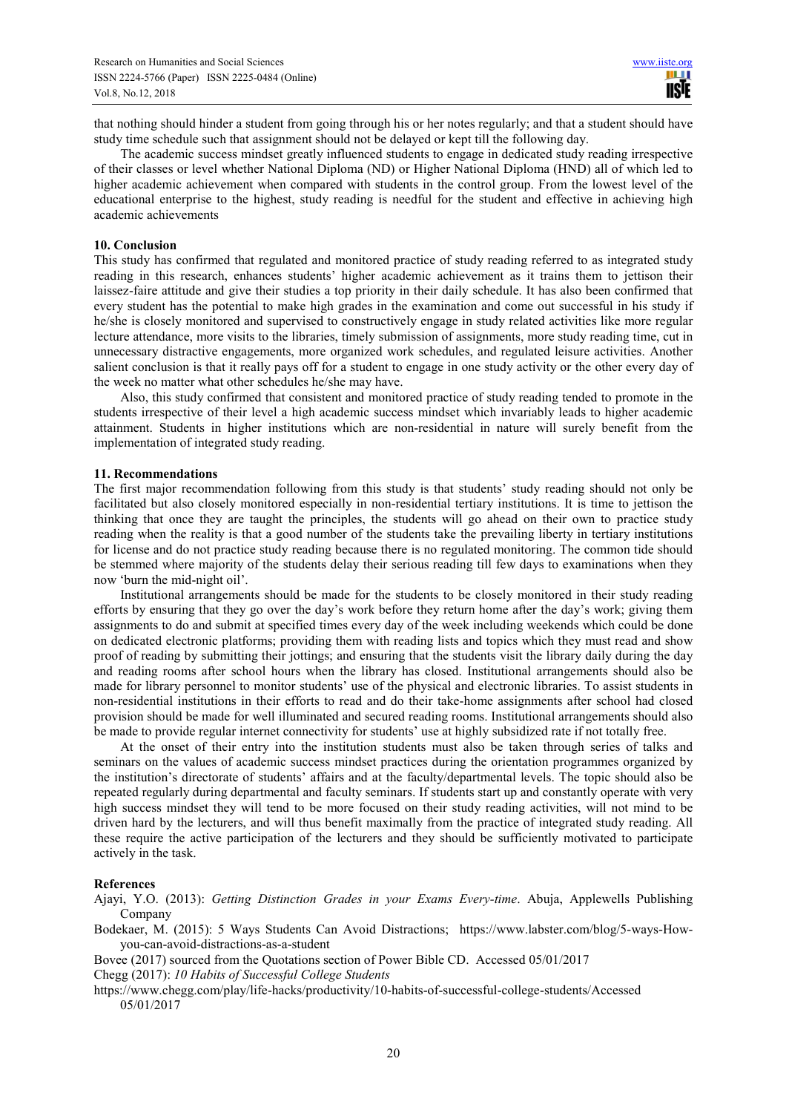that nothing should hinder a student from going through his or her notes regularly; and that a student should have study time schedule such that assignment should not be delayed or kept till the following day.

The academic success mindset greatly influenced students to engage in dedicated study reading irrespective of their classes or level whether National Diploma (ND) or Higher National Diploma (HND) all of which led to higher academic achievement when compared with students in the control group. From the lowest level of the educational enterprise to the highest, study reading is needful for the student and effective in achieving high academic achievements

#### **10. Conclusion**

This study has confirmed that regulated and monitored practice of study reading referred to as integrated study reading in this research, enhances students' higher academic achievement as it trains them to jettison their laissez-faire attitude and give their studies a top priority in their daily schedule. It has also been confirmed that every student has the potential to make high grades in the examination and come out successful in his study if he/she is closely monitored and supervised to constructively engage in study related activities like more regular lecture attendance, more visits to the libraries, timely submission of assignments, more study reading time, cut in unnecessary distractive engagements, more organized work schedules, and regulated leisure activities. Another salient conclusion is that it really pays off for a student to engage in one study activity or the other every day of the week no matter what other schedules he/she may have.

Also, this study confirmed that consistent and monitored practice of study reading tended to promote in the students irrespective of their level a high academic success mindset which invariably leads to higher academic attainment. Students in higher institutions which are non-residential in nature will surely benefit from the implementation of integrated study reading.

#### **11. Recommendations**

The first major recommendation following from this study is that students' study reading should not only be facilitated but also closely monitored especially in non-residential tertiary institutions. It is time to jettison the thinking that once they are taught the principles, the students will go ahead on their own to practice study reading when the reality is that a good number of the students take the prevailing liberty in tertiary institutions for license and do not practice study reading because there is no regulated monitoring. The common tide should be stemmed where majority of the students delay their serious reading till few days to examinations when they now 'burn the mid-night oil'.

Institutional arrangements should be made for the students to be closely monitored in their study reading efforts by ensuring that they go over the day's work before they return home after the day's work; giving them assignments to do and submit at specified times every day of the week including weekends which could be done on dedicated electronic platforms; providing them with reading lists and topics which they must read and show proof of reading by submitting their jottings; and ensuring that the students visit the library daily during the day and reading rooms after school hours when the library has closed. Institutional arrangements should also be made for library personnel to monitor students' use of the physical and electronic libraries. To assist students in non-residential institutions in their efforts to read and do their take-home assignments after school had closed provision should be made for well illuminated and secured reading rooms. Institutional arrangements should also be made to provide regular internet connectivity for students' use at highly subsidized rate if not totally free.

At the onset of their entry into the institution students must also be taken through series of talks and seminars on the values of academic success mindset practices during the orientation programmes organized by the institution's directorate of students' affairs and at the faculty/departmental levels. The topic should also be repeated regularly during departmental and faculty seminars. If students start up and constantly operate with very high success mindset they will tend to be more focused on their study reading activities, will not mind to be driven hard by the lecturers, and will thus benefit maximally from the practice of integrated study reading. All these require the active participation of the lecturers and they should be sufficiently motivated to participate actively in the task.

#### **References**

Ajayi, Y.O. (2013): *Getting Distinction Grades in your Exams Every-time*. Abuja, Applewells Publishing Company

Bodekaer, M. (2015): 5 Ways Students Can Avoid Distractions; https://www.labster.com/blog/5-ways-Howyou-can-avoid-distractions-as-a-student

Bovee (2017) sourced from the Quotations section of Power Bible CD. Accessed 05/01/2017

Chegg (2017): *10 Habits of Successful College Students*

https://www.chegg.com/play/life-hacks/productivity/10-habits-of-successful-college-students/Accessed 05/01/2017